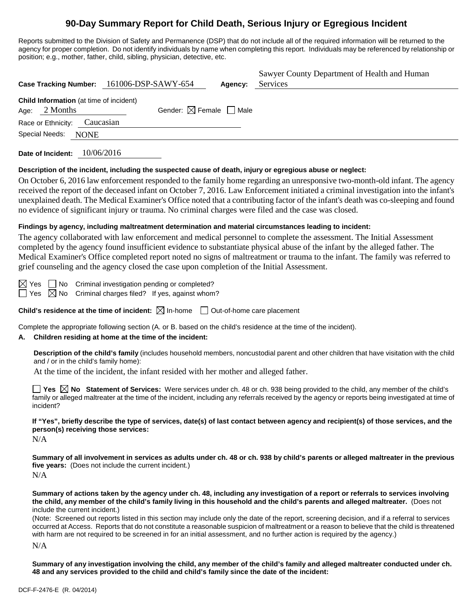# **90-Day Summary Report for Child Death, Serious Injury or Egregious Incident**

Reports submitted to the Division of Safety and Permanence (DSP) that do not include all of the required information will be returned to the agency for proper completion. Do not identify individuals by name when completing this report. Individuals may be referenced by relationship or position; e.g., mother, father, child, sibling, physician, detective, etc.

|                                                            | Case Tracking Number: 161006-DSP-SAWY-654 | Agency: | Sawyer County Department of Health and Human<br>Services |
|------------------------------------------------------------|-------------------------------------------|---------|----------------------------------------------------------|
| Child Information (at time of incident)<br>Age: $2$ Months | Gender: $\boxtimes$ Female $\Box$ Male    |         |                                                          |
| Race or Ethnicity: Caucasian                               |                                           |         |                                                          |
| Special Needs: NONE                                        |                                           |         |                                                          |

**Date of Incident:** 10/06/2016

### **Description of the incident, including the suspected cause of death, injury or egregious abuse or neglect:**

On October 6, 2016 law enforcement responded to the family home regarding an unresponsive two-month-old infant. The agency received the report of the deceased infant on October 7, 2016. Law Enforcement initiated a criminal investigation into the infant's unexplained death. The Medical Examiner's Office noted that a contributing factor of the infant's death was co-sleeping and found no evidence of significant injury or trauma. No criminal charges were filed and the case was closed.

### **Findings by agency, including maltreatment determination and material circumstances leading to incident:**

The agency collaborated with law enforcement and medical personnel to complete the assessment. The Initial Assessment completed by the agency found insufficient evidence to substantiate physical abuse of the infant by the alleged father. The Medical Examiner's Office completed report noted no signs of maltreatment or trauma to the infant. The family was referred to grief counseling and the agency closed the case upon completion of the Initial Assessment.

 $\boxtimes$  Yes  $\Box$  No Criminal investigation pending or completed?

 $\Box$  Yes  $\boxtimes$  No Criminal charges filed? If yes, against whom?

**Child's residence at the time of incident:**  $\boxtimes$  In-home  $\Box$  Out-of-home care placement

Complete the appropriate following section (A. or B. based on the child's residence at the time of the incident).

### **A. Children residing at home at the time of the incident:**

**Description of the child's family** (includes household members, noncustodial parent and other children that have visitation with the child and / or in the child's family home):

At the time of the incident, the infant resided with her mother and alleged father.

**Yes No** Statement of Services: Were services under ch. 48 or ch. 938 being provided to the child, any member of the child's family or alleged maltreater at the time of the incident, including any referrals received by the agency or reports being investigated at time of incident?

**If "Yes", briefly describe the type of services, date(s) of last contact between agency and recipient(s) of those services, and the person(s) receiving those services:**

N/A

**Summary of all involvement in services as adults under ch. 48 or ch. 938 by child's parents or alleged maltreater in the previous five years:** (Does not include the current incident.) N/A

**Summary of actions taken by the agency under ch. 48, including any investigation of a report or referrals to services involving the child, any member of the child's family living in this household and the child's parents and alleged maltreater.** (Does not include the current incident.)

(Note: Screened out reports listed in this section may include only the date of the report, screening decision, and if a referral to services occurred at Access. Reports that do not constitute a reasonable suspicion of maltreatment or a reason to believe that the child is threatened with harm are not required to be screened in for an initial assessment, and no further action is required by the agency.)

N/A

**Summary of any investigation involving the child, any member of the child's family and alleged maltreater conducted under ch. 48 and any services provided to the child and child's family since the date of the incident:**